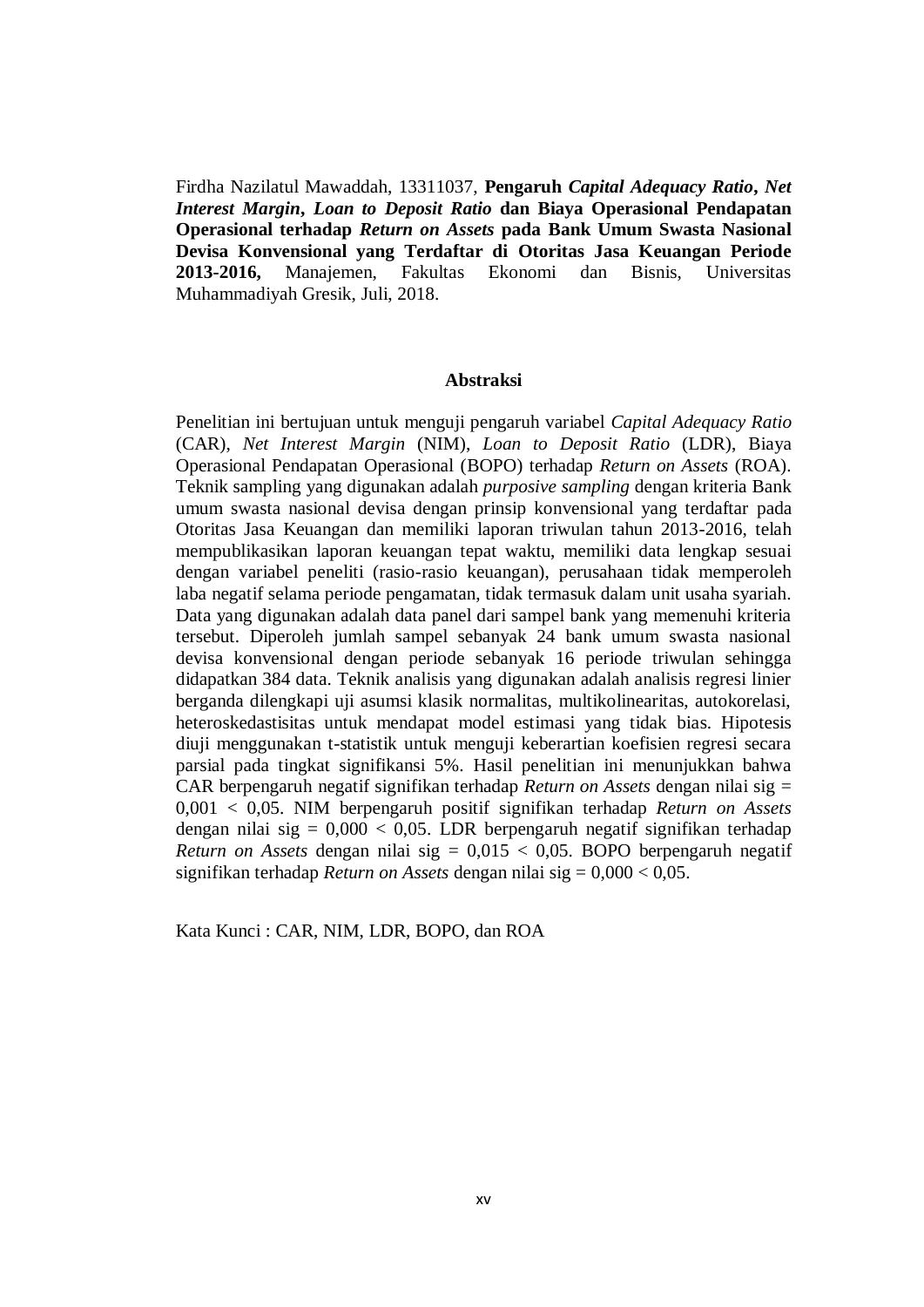Firdha Nazilatul Mawaddah, 13311037, **Pengaruh** *Capital Adequacy Ratio***,** *Net Interest Margin***,** *Loan to Deposit Ratio* **dan Biaya Operasional Pendapatan Operasional terhadap** *Return on Assets* **pada Bank Umum Swasta Nasional Devisa Konvensional yang Terdaftar di Otoritas Jasa Keuangan Periode 2013-2016,** Manajemen, Fakultas Ekonomi dan Bisnis, Universitas Muhammadiyah Gresik, Juli, 2018.

## **Abstraksi**

Penelitian ini bertujuan untuk menguji pengaruh variabel *Capital Adequacy Ratio* (CAR), *Net Interest Margin* (NIM), *Loan to Deposit Ratio* (LDR), Biaya Operasional Pendapatan Operasional (BOPO) terhadap *Return on Assets* (ROA). Teknik sampling yang digunakan adalah *purposive sampling* dengan kriteria Bank umum swasta nasional devisa dengan prinsip konvensional yang terdaftar pada Otoritas Jasa Keuangan dan memiliki laporan triwulan tahun 2013-2016, telah mempublikasikan laporan keuangan tepat waktu, memiliki data lengkap sesuai dengan variabel peneliti (rasio-rasio keuangan), perusahaan tidak memperoleh laba negatif selama periode pengamatan, tidak termasuk dalam unit usaha syariah. Data yang digunakan adalah data panel dari sampel bank yang memenuhi kriteria tersebut. Diperoleh jumlah sampel sebanyak 24 bank umum swasta nasional devisa konvensional dengan periode sebanyak 16 periode triwulan sehingga didapatkan 384 data. Teknik analisis yang digunakan adalah analisis regresi linier berganda dilengkapi uji asumsi klasik normalitas, multikolinearitas, autokorelasi, heteroskedastisitas untuk mendapat model estimasi yang tidak bias. Hipotesis diuji menggunakan t-statistik untuk menguji keberartian koefisien regresi secara parsial pada tingkat signifikansi 5%. Hasil penelitian ini menunjukkan bahwa CAR berpengaruh negatif signifikan terhadap *Return on Assets* dengan nilai sig = 0,001 < 0,05. NIM berpengaruh positif signifikan terhadap *Return on Assets* dengan nilai sig =  $0.000 < 0.05$ . LDR berpengaruh negatif signifikan terhadap *Return on Assets* dengan nilai sig = 0,015 < 0,05. BOPO berpengaruh negatif signifikan terhadap *Return on Assets* dengan nilai sig = 0,000 < 0,05.

Kata Kunci : CAR, NIM, LDR, BOPO, dan ROA